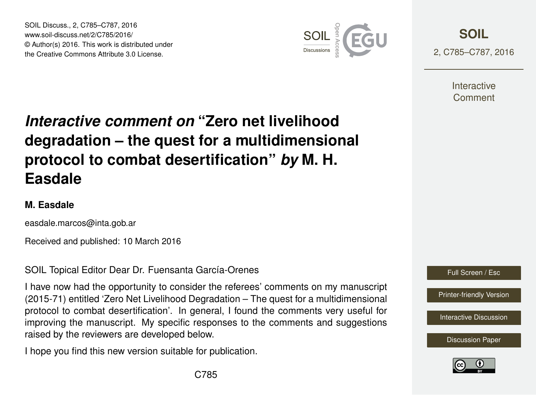SOIL Discuss., 2, C785–C787, 2016 www.soil-discuss.net/2/C785/2016/ © Author(s) 2016. This work is distributed under the Creative Commons Attribute 3.0 License.



**[SOIL](http://www.soil-discuss.net)** 2, C785–C787, 2016

> **Interactive** Comment

# *Interactive comment on* **"Zero net livelihood degradation – the quest for a multidimensional protocol to combat desertification"** *by* **M. H. Easdale**

## **M. Easdale**

easdale.marcos@inta.gob.ar

Received and published: 10 March 2016

SOIL Topical Editor Dear Dr. Fuensanta García-Orenes

I have now had the opportunity to consider the referees' comments on my manuscript (2015-71) entitled 'Zero Net Livelihood Degradation – The quest for a multidimensional protocol to combat desertification'. In general, I found the comments very useful for improving the manuscript. My specific responses to the comments and suggestions raised by the reviewers are developed below.

I hope you find this new version suitable for publication.



[Printer-friendly Version](http://www.soil-discuss.net/2/C785/2016/soild-2-C785-2016-print.pdf)

[Interactive Discussion](http://www.soil-discuss.net/2/1161/2015/soild-2-1161-2015-discussion.html)



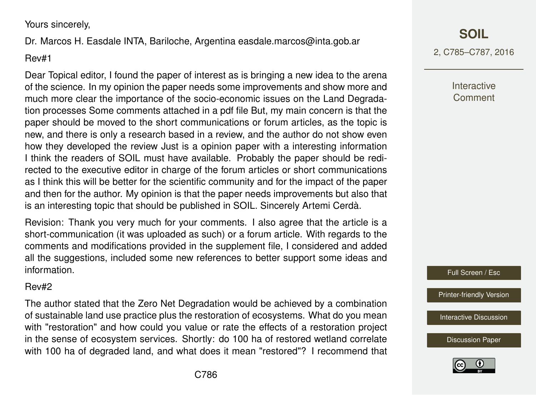### Yours sincerely,

Dr. Marcos H. Easdale INTA, Bariloche, Argentina easdale.marcos@inta.gob.ar

#### Rev#1

Dear Topical editor, I found the paper of interest as is bringing a new idea to the arena of the science. In my opinion the paper needs some improvements and show more and much more clear the importance of the socio-economic issues on the Land Degradation processes Some comments attached in a pdf file But, my main concern is that the paper should be moved to the short communications or forum articles, as the topic is new, and there is only a research based in a review, and the author do not show even how they developed the review Just is a opinion paper with a interesting information I think the readers of SOIL must have available. Probably the paper should be redirected to the executive editor in charge of the forum articles or short communications as I think this will be better for the scientific community and for the impact of the paper and then for the author. My opinion is that the paper needs improvements but also that is an interesting topic that should be published in SOIL. Sincerely Artemi Cerdà.

Revision: Thank you very much for your comments. I also agree that the article is a short-communication (it was uploaded as such) or a forum article. With regards to the comments and modifications provided in the supplement file, I considered and added all the suggestions, included some new references to better support some ideas and information.

### Rev#2

The author stated that the Zero Net Degradation would be achieved by a combination of sustainable land use practice plus the restoration of ecosystems. What do you mean with "restoration" and how could you value or rate the effects of a restoration project in the sense of ecosystem services. Shortly: do 100 ha of restored wetland correlate with 100 ha of degraded land, and what does it mean "restored"? I recommend that **Interactive** Comment

Full Screen / Esc

[Printer-friendly Version](http://www.soil-discuss.net/2/C785/2016/soild-2-C785-2016-print.pdf)

[Interactive Discussion](http://www.soil-discuss.net/2/1161/2015/soild-2-1161-2015-discussion.html)

[Discussion Paper](http://www.soil-discuss.net/2/1161/2015/soild-2-1161-2015.pdf)